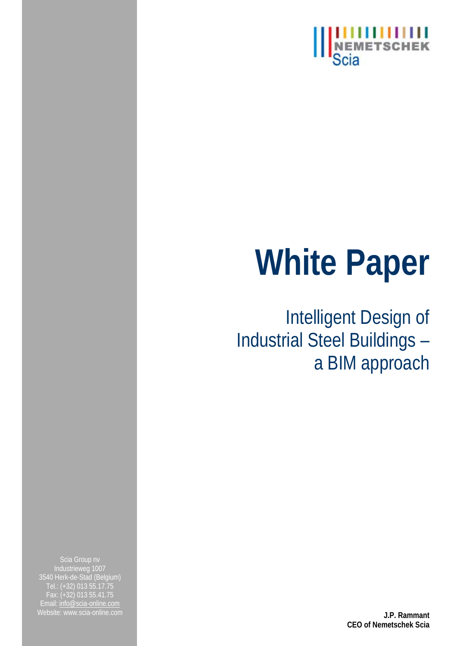

# **White Paper**

Intelligent Design of Industrial Steel Buildings – a BIM approach

3540 Herk-de-Stad (Belgium) Tel.: (+32) 013 55.17.75 Fax: (+32) 013 55.41.75 Email: info@scia-online.com Website: www.scia-online.com **J.P. Rammant** 

**CEO of Nemetschek Scia**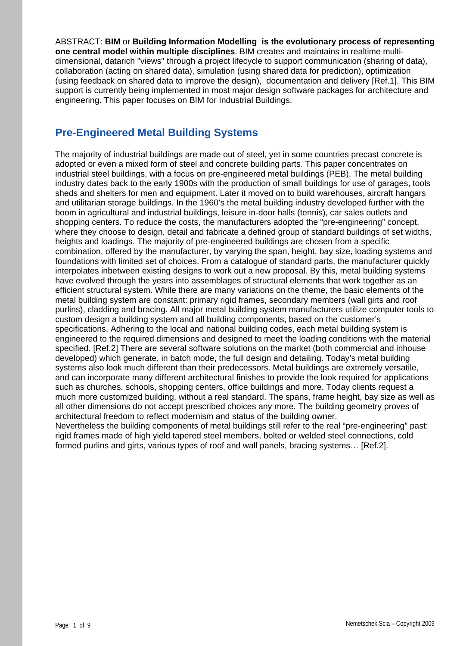ABSTRACT: **BIM** or **Building Information Modelling is the evolutionary process of representing one central model within multiple disciplines**. BIM creates and maintains in realtime multidimensional, datarich "views" through a project lifecycle to support communication (sharing of data), collaboration (acting on shared data), simulation (using shared data for prediction), optimization (using feedback on shared data to improve the design), documentation and delivery [Ref.1]. This BIM support is currently being implemented in most major design software packages for architecture and engineering. This paper focuses on BIM for Industrial Buildings.

## **Pre-Engineered Metal Building Systems**

The majority of industrial buildings are made out of steel, yet in some countries precast concrete is adopted or even a mixed form of steel and concrete building parts. This paper concentrates on industrial steel buildings, with a focus on pre-engineered metal buildings (PEB). The metal building industry dates back to the early 1900s with the production of small buildings for use of garages, tools sheds and shelters for men and equipment. Later it moved on to build warehouses, aircraft hangars and utilitarian storage buildings. In the 1960's the metal building industry developed further with the boom in agricultural and industrial buildings, leisure in-door halls (tennis), car sales outlets and shopping centers. To reduce the costs, the manufacturers adopted the "pre-engineering" concept, where they choose to design, detail and fabricate a defined group of standard buildings of set widths, heights and loadings. The majority of pre-engineered buildings are chosen from a specific combination, offered by the manufacturer, by varying the span, height, bay size, loading systems and foundations with limited set of choices. From a catalogue of standard parts, the manufacturer quickly interpolates inbetween existing designs to work out a new proposal. By this, metal building systems have evolved through the years into assemblages of structural elements that work together as an efficient structural system. While there are many variations on the theme, the basic elements of the metal building system are constant: primary rigid frames, secondary members (wall girts and roof purlins), cladding and bracing. All major metal building system manufacturers utilize computer tools to custom design a building system and all building components, based on the customer's specifications. Adhering to the local and national building codes, each metal building system is engineered to the required dimensions and designed to meet the loading conditions with the material specified. [Ref.2] There are several software solutions on the market (both commercial and inhouse developed) which generate, in batch mode, the full design and detailing. Today's metal building systems also look much different than their predecessors. Metal buildings are extremely versatile, and can incorporate many different architectural finishes to provide the look required for applications such as churches, schools, shopping centers, office buildings and more. Today clients request a much more customized building, without a real standard. The spans, frame height, bay size as well as all other dimensions do not accept prescribed choices any more. The building geometry proves of architectural freedom to reflect modernism and status of the building owner. Nevertheless the building components of metal buildings still refer to the real "pre-engineering" past: rigid frames made of high yield tapered steel members, bolted or welded steel connections, cold formed purlins and girts, various types of roof and wall panels, bracing systems… [Ref.2].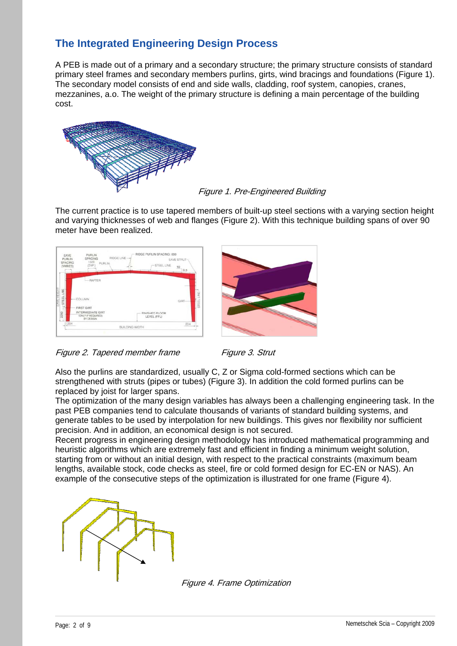# **The Integrated Engineering Design Process**

A PEB is made out of a primary and a secondary structure; the primary structure consists of standard primary steel frames and secondary members purlins, girts, wind bracings and foundations (Figure 1). The secondary model consists of end and side walls, cladding, roof system, canopies, cranes, mezzanines, a.o. The weight of the primary structure is defining a main percentage of the building cost.



#### Figure 1. Pre-Engineered Building

The current practice is to use tapered members of built-up steel sections with a varying section height and varying thicknesses of web and flanges (Figure 2). With this technique building spans of over 90 meter have been realized.









Also the purlins are standardized, usually C, Z or Sigma cold-formed sections which can be strengthened with struts (pipes or tubes) (Figure 3). In addition the cold formed purlins can be replaced by joist for larger spans.

The optimization of the many design variables has always been a challenging engineering task. In the past PEB companies tend to calculate thousands of variants of standard building systems, and generate tables to be used by interpolation for new buildings. This gives nor flexibility nor sufficient precision. And in addition, an economical design is not secured.

Recent progress in engineering design methodology has introduced mathematical programming and heuristic algorithms which are extremely fast and efficient in finding a minimum weight solution, starting from or without an initial design, with respect to the practical constraints (maximum beam lengths, available stock, code checks as steel, fire or cold formed design for EC-EN or NAS). An example of the consecutive steps of the optimization is illustrated for one frame (Figure 4).



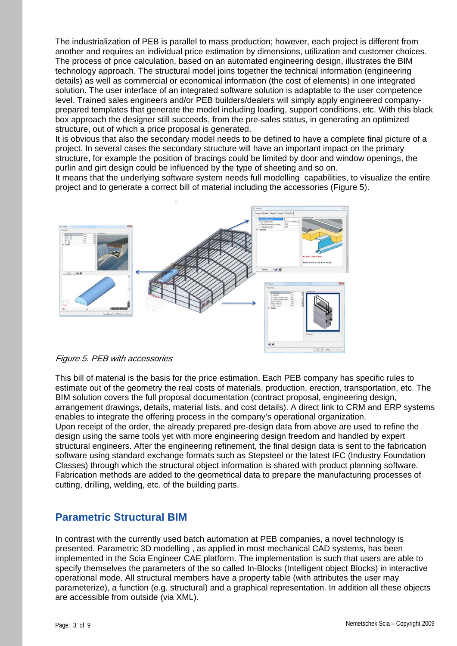The industrialization of PEB is parallel to mass production; however, each project is different from another and requires an individual price estimation by dimensions, utilization and customer choices. The process of price calculation, based on an automated engineering design, illustrates the BIM technology approach. The structural model joins together the technical information (engineering details) as well as commercial or economical information (the cost of elements) in one integrated solution. The user interface of an integrated software solution is adaptable to the user competence level. Trained sales engineers and/or PEB builders/dealers will simply apply engineered companyprepared templates that generate the model including loading, support conditions, etc. With this black box approach the designer still succeeds, from the pre-sales status, in generating an optimized structure, out of which a price proposal is generated.

It is obvious that also the secondary model needs to be defined to have a complete final picture of a project. In several cases the secondary structure will have an important impact on the primary structure, for example the position of bracings could be limited by door and window openings, the purlin and girt design could be influenced by the type of sheeting and so on.

It means that the underlying software system needs full modelling capabilities, to visualize the entire project and to generate a correct bill of material including the accessories (Figure 5).



#### Figure 5. PEB with accessories

This bill of material is the basis for the price estimation. Each PEB company has specific rules to estimate out of the geometry the real costs of materials, production, erection, transportation, etc. The BIM solution covers the full proposal documentation (contract proposal, engineering design, arrangement drawings, details, material lists, and cost details). A direct link to CRM and ERP systems enables to integrate the offering process in the company's operational organization. Upon receipt of the order, the already prepared pre-design data from above are used to refine the design using the same tools yet with more engineering design freedom and handled by expert structural engineers. After the engineering refinement, the final design data is sent to the fabrication software using standard exchange formats such as Stepsteel or the latest IFC (Industry Foundation Classes) through which the structural object information is shared with product planning software. Fabrication methods are added to the geometrical data to prepare the manufacturing processes of cutting, drilling, welding, etc. of the building parts.

#### **Parametric Structural BIM**

In contrast with the currently used batch automation at PEB companies, a novel technology is presented. Parametric 3D modelling , as applied in most mechanical CAD systems, has been implemented in the Scia Engineer CAE platform. The implementation is such that users are able to specify themselves the parameters of the so called In-Blocks (Intelligent object Blocks) in interactive operational mode. All structural members have a property table (with attributes the user may parameterize), a function (e.g. structural) and a graphical representation. In addition all these objects are accessible from outside (via XML).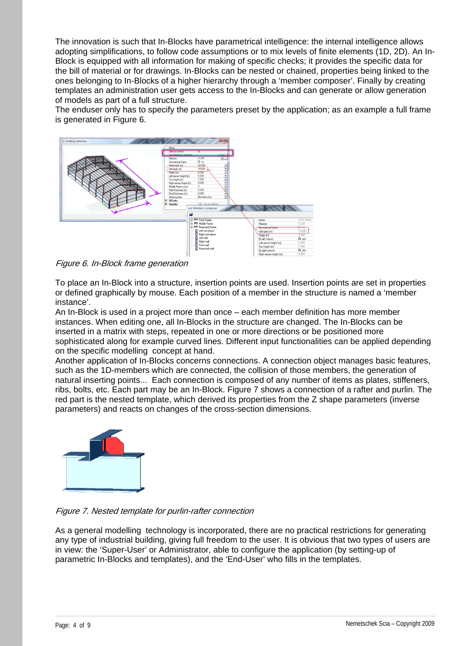The innovation is such that In-Blocks have parametrical intelligence: the internal intelligence allows adopting simplifications, to follow code assumptions or to mix levels of finite elements (1D, 2D). An In-Block is equipped with all information for making of specific checks; it provides the specific data for the bill of material or for drawings. In-Blocks can be nested or chained, properties being linked to the ones belonging to In-Blocks of a higher hierarchy through a 'member composer'. Finally by creating templates an administration user gets access to the In-Blocks and can generate or allow generation of models as part of a full structure.

The enduser only has to specify the parameters preset by the application; as an example a full frame is generated in Figure 6.



Figure 6. In-Block frame generation

To place an In-Block into a structure, insertion points are used. Insertion points are set in properties or defined graphically by mouse. Each position of a member in the structure is named a 'member instance'.

An In-Block is used in a project more than once – each member definition has more member instances. When editing one, all In-Blocks in the structure are changed. The In-Blocks can be inserted in a matrix with steps, repeated in one or more directions or be positioned more sophisticated along for example curved lines. Different input functionalities can be applied depending on the specific modelling concept at hand.

Another application of In-Blocks concerns connections. A connection object manages basic features, such as the 1D-members which are connected, the collision of those members, the generation of natural inserting points... Each connection is composed of any number of items as plates, stiffeners, ribs, bolts, etc. Each part may be an In-Block. Figure 7 shows a connection of a rafter and purlin. The red part is the nested template, which derived its properties from the Z shape parameters (inverse parameters) and reacts on changes of the cross-section dimensions.



Figure 7. Nested template for purlin-rafter connection

As a general modelling technology is incorporated, there are no practical restrictions for generating any type of industrial building, giving full freedom to the user. It is obvious that two types of users are in view: the 'Super-User' or Administrator, able to configure the application (by setting-up of parametric In-Blocks and templates), and the 'End-User' who fills in the templates.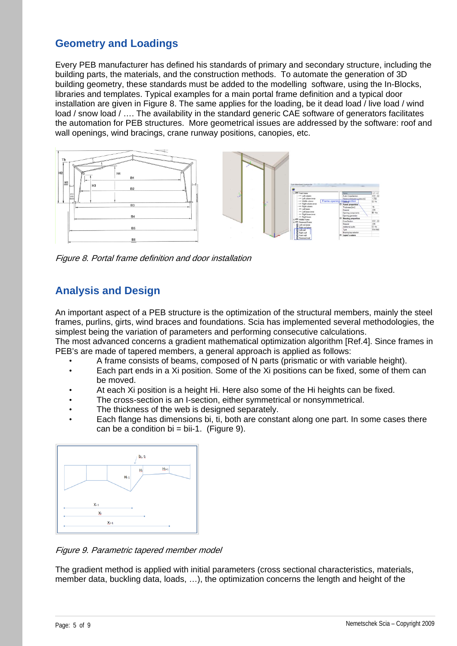### **Geometry and Loadings**

Every PEB manufacturer has defined his standards of primary and secondary structure, including the building parts, the materials, and the construction methods. To automate the generation of 3D building geometry, these standards must be added to the modelling software, using the In-Blocks, libraries and templates. Typical examples for a main portal frame definition and a typical door installation are given in Figure 8. The same applies for the loading, be it dead load / live load / wind load / snow load / .... The availability in the standard generic CAE software of generators facilitates the automation for PEB structures. More geometrical issues are addressed by the software: roof and wall openings, wind bracings, crane runway positions, canopies, etc.



Figure 8. Portal frame definition and door installation

## **Analysis and Design**

An important aspect of a PEB structure is the optimization of the structural members, mainly the steel frames, purlins, girts, wind braces and foundations. Scia has implemented several methodologies, the simplest being the variation of parameters and performing consecutive calculations.

The most advanced concerns a gradient mathematical optimization algorithm [Ref.4]. Since frames in PEB's are made of tapered members, a general approach is applied as follows:

- A frame consists of beams, composed of N parts (prismatic or with variable height).
- Each part ends in a Xi position. Some of the Xi positions can be fixed, some of them can be moved.
- At each Xi position is a height Hi. Here also some of the Hi heights can be fixed.
- The cross-section is an I-section, either symmetrical or nonsymmetrical.
- The thickness of the web is designed separately.
- Each flange has dimensions bi, ti, both are constant along one part. In some cases there can be a condition  $bi = bi-1$ . (Figure 9).



Figure 9. Parametric tapered member model

The gradient method is applied with initial parameters (cross sectional characteristics, materials, member data, buckling data, loads, …), the optimization concerns the length and height of the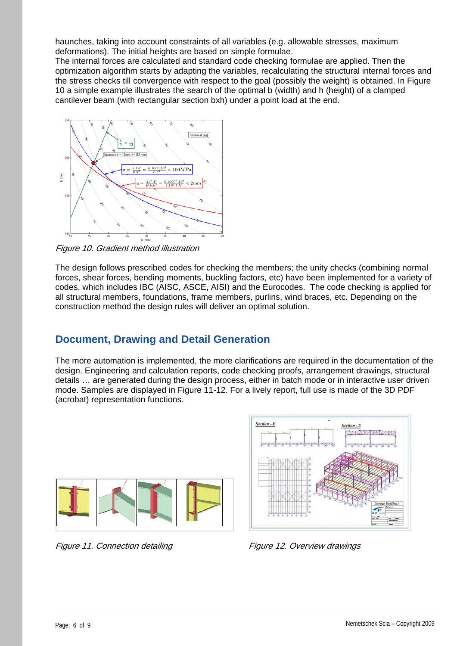haunches, taking into account constraints of all variables (e.g. allowable stresses, maximum deformations). The initial heights are based on simple formulae.

The internal forces are calculated and standard code checking formulae are applied. Then the optimization algorithm starts by adapting the variables, recalculating the structural internal forces and the stress checks till convergence with respect to the goal (possibly the weight) is obtained. In Figure 10 a simple example illustrates the search of the optimal b (width) and h (height) of a clamped cantilever beam (with rectangular section bxh) under a point load at the end.



Figure 10. Gradient method illustration

The design follows prescribed codes for checking the members; the unity checks (combining normal forces, shear forces, bending moments, buckling factors, etc) have been implemented for a variety of codes, which includes IBC (AISC, ASCE, AISI) and the Eurocodes. The code checking is applied for all structural members, foundations, frame members, purlins, wind braces, etc. Depending on the construction method the design rules will deliver an optimal solution.

#### **Document, Drawing and Detail Generation**

The more automation is implemented, the more clarifications are required in the documentation of the design. Engineering and calculation reports, code checking proofs, arrangement drawings, structural details … are generated during the design process, either in batch mode or in interactive user driven mode. Samples are displayed in Figure 11-12. For a lively report, full use is made of the 3D PDF (acrobat) representation functions.



Figure 11. Connection detailing The Register of Figure 12. Overview drawings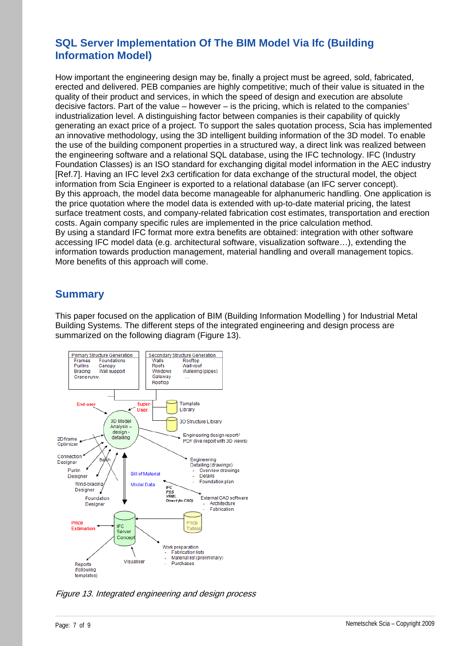## **SQL Server Implementation Of The BIM Model Via Ifc (Building Information Model)**

How important the engineering design may be, finally a project must be agreed, sold, fabricated, erected and delivered. PEB companies are highly competitive; much of their value is situated in the quality of their product and services, in which the speed of design and execution are absolute decisive factors. Part of the value – however – is the pricing, which is related to the companies' industrialization level. A distinguishing factor between companies is their capability of quickly generating an exact price of a project. To support the sales quotation process, Scia has implemented an innovative methodology, using the 3D intelligent building information of the 3D model. To enable the use of the building component properties in a structured way, a direct link was realized between the engineering software and a relational SQL database, using the IFC technology. IFC (Industry Foundation Classes) is an ISO standard for exchanging digital model information in the AEC industry [Ref.7]. Having an IFC level 2x3 certification for data exchange of the structural model, the object information from Scia Engineer is exported to a relational database (an IFC server concept). By this approach, the model data become manageable for alphanumeric handling. One application is the price quotation where the model data is extended with up-to-date material pricing, the latest surface treatment costs, and company-related fabrication cost estimates, transportation and erection costs. Again company specific rules are implemented in the price calculation method. By using a standard IFC format more extra benefits are obtained: integration with other software accessing IFC model data (e.g. architectural software, visualization software…), extending the information towards production management, material handling and overall management topics. More benefits of this approach will come.

#### **Summary**

This paper focused on the application of BIM (Building Information Modelling ) for Industrial Metal Building Systems. The different steps of the integrated engineering and design process are summarized on the following diagram (Figure 13).



Figure 13. Integrated engineering and design process